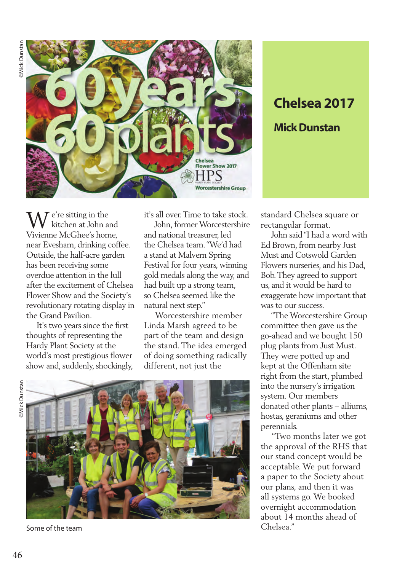

### $\mathbf{W}^{\text{e're sitting in the}}$ kitchen at John and Vivienne McGhee's home, near Evesham, drinking coffee. Outside, the half-acre garden has been receiving some overdue attention in the lull after the excitement of Chelsea Flower Show and the Society's revolutionary rotating display in the Grand Pavilion.

 It's two years since the first thoughts of representing the Hardy Plant Society at the world's most prestigious flower show and, suddenly, shockingly, it's all over. Time to take stock.

 John, former Worcestershire and national treasurer, led the Chelsea team. "We'd had a stand at Malvern Spring Festival for four years, winning gold medals along the way, and had built up a strong team, so Chelsea seemed like the natural next step."

 Worcestershire member Linda Marsh agreed to be part of the team and design the stand. The idea emerged of doing something radically different, not just the





Some of the team

# **Chelsea 2017 Mick Dunstan**

standard Chelsea square or rectangular format.

 John said "I had a word with Ed Brown, from nearby Just Must and Cotswold Garden Flowers nurseries, and his Dad, Bob. They agreed to support us, and it would be hard to exaggerate how important that was to our success.

 "The Worcestershire Group committee then gave us the go-ahead and we bought 150 plug plants from Just Must. They were potted up and kept at the Offenham site right from the start, plumbed into the nursery's irrigation system. Our members donated other plants – alliums, hostas, geraniums and other perennials.

 "Two months later we got the approval of the RHS that our stand concept would be acceptable. We put forward a paper to the Society about our plans, and then it was all systems go. We booked overnight accommodation about 14 months ahead of Chelsea."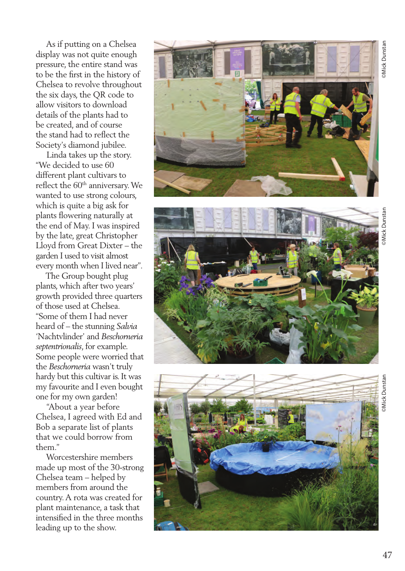Mick Dunstan

 As if putting on a Chelsea display was not quite enough pressure, the entire stand was to be the first in the history of Chelsea to revolve throughout the six days, the QR code to allow visitors to download details of the plants had to be created, and of course the stand had to reflect the Society's diamond jubilee.

 Linda takes up the story. "We decided to use 60 different plant cultivars to reflect the 60<sup>th</sup> anniversary. We wanted to use strong colours, which is quite a big ask for plants flowering naturally at the end of May. I was inspired by the late, great Christopher Lloyd from Great Dixter – the garden I used to visit almost every month when I lived near".

 The Group bought plug plants, which after two years' growth provided three quarters of those used at Chelsea. "Some of them I had never heard of – the stunning *Salvia* 'Nachtvlinder' and *Beschorneria septentrionalis*, for example. Some people were worried that the *Beschorneria* wasn't truly hardy but this cultivar is. It was my favourite and I even bought one for my own garden!

 "About a year before Chelsea, I agreed with Ed and Bob a separate list of plants that we could borrow from them."

 Worcestershire members made up most of the 30-strong Chelsea team – helped by members from around the country. A rota was created for plant maintenance, a task that intensified in the three months leading up to the show.





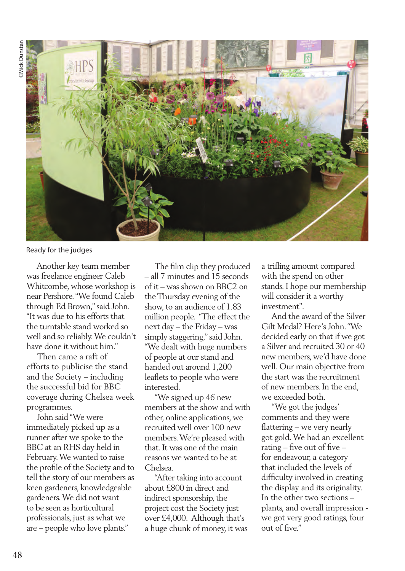

Ready for the judges

 Another key team member was freelance engineer Caleb Whitcombe, whose workshop is near Pershore. "We found Caleb through Ed Brown," said John. "It was due to his efforts that the turntable stand worked so well and so reliably. We couldn't have done it without him."

 Then came a raft of efforts to publicise the stand and the Society – including the successful bid for BBC coverage during Chelsea week programmes.

 John said "We were immediately picked up as a runner after we spoke to the BBC at an RHS day held in February. We wanted to raise the profile of the Society and to tell the story of our members as keen gardeners, knowledgeable gardeners. We did not want to be seen as horticultural professionals, just as what we are – people who love plants."

 The film clip they produced – all 7 minutes and 15 seconds of it – was shown on BBC2 on the Thursday evening of the show, to an audience of 1.83 million people. "The effect the next day – the Friday – was simply staggering," said John. "We dealt with huge numbers of people at our stand and handed out around 1,200 leaflets to people who were interested.

 "We signed up 46 new members at the show and with other, online applications, we recruited well over 100 new members. We're pleased with that. It was one of the main reasons we wanted to be at Chelsea.

 "After taking into account about £800 in direct and indirect sponsorship, the project cost the Society just over £4,000. Although that's a huge chunk of money, it was

a trifling amount compared with the spend on other stands. I hope our membership will consider it a worthy investment".

 And the award of the Silver Gilt Medal? Here's John. "We decided early on that if we got a Silver and recruited 30 or 40 new members, we'd have done well. Our main objective from the start was the recruitment of new members. In the end, we exceeded both.

 "We got the judges' comments and they were flattering – we very nearly got gold. We had an excellent rating – five out of five – for endeavour, a category that included the levels of difficulty involved in creating the display and its originality. In the other two sections – plants, and overall impression we got very good ratings, four out of five."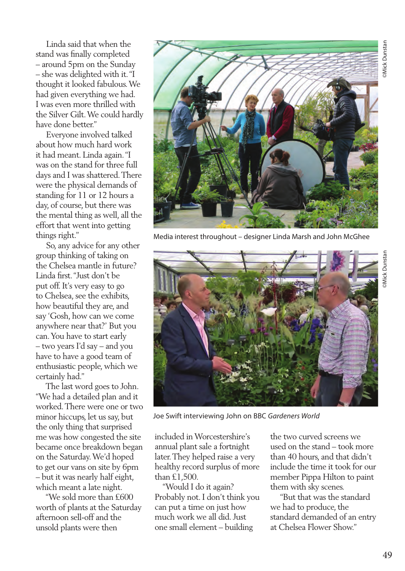Linda said that when the stand was finally completed – around 5pm on the Sunday – she was delighted with it. "I thought it looked fabulous. We had given everything we had. I was even more thrilled with the Silver Gilt. We could hardly have done better."

 Everyone involved talked about how much hard work it had meant. Linda again. "I was on the stand for three full days and I was shattered. There were the physical demands of standing for 11 or 12 hours a day, of course, but there was the mental thing as well, all the effort that went into getting things right."

 So, any advice for any other group thinking of taking on the Chelsea mantle in future? Linda first. "Just don't be put off. It's very easy to go to Chelsea, see the exhibits, how beautiful they are, and say 'Gosh, how can we come anywhere near that?' But you can. You have to start early – two years I'd say – and you have to have a good team of enthusiastic people, which we certainly had."

 The last word goes to John. "We had a detailed plan and it worked. There were one or two minor hiccups, let us say, but the only thing that surprised me was how congested the site became once breakdown began on the Saturday. We'd hoped to get our vans on site by 6pm – but it was nearly half eight, which meant a late night.

 "We sold more than £600 worth of plants at the Saturday afternoon sell-off and the unsold plants were then



Media interest throughout – designer Linda Marsh and John McGhee



Joe Swift interviewing John on BBC *Gardeners World*

included in Worcestershire's annual plant sale a fortnight later. They helped raise a very healthy record surplus of more than £1,500.

 "Would I do it again? Probably not. I don't think you can put a time on just how much work we all did. Just one small element – building

the two curved screens we used on the stand – took more than 40 hours, and that didn't include the time it took for our member Pippa Hilton to paint them with sky scenes.

 "But that was the standard we had to produce, the standard demanded of an entry at Chelsea Flower Show."